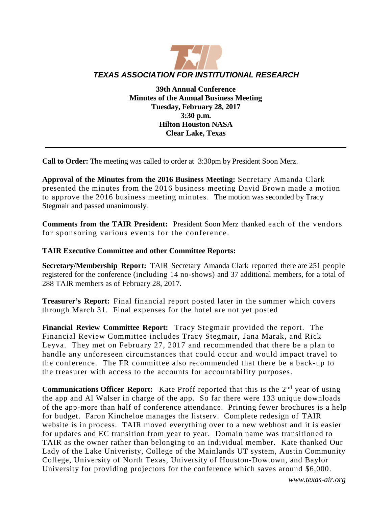

**39th Annual Conference Minutes of the Annual Business Meeting Tuesday, February 28, 2017 3:30 p.m. Hilton Houston NASA Clear Lake, Texas**

**Call to Order:** The meeting was called to order at 3:30pm by President Soon Merz.

**Approval of the Minutes from the 2016 Business Meeting:** Secretary Amanda Clark presented the minutes from the 2016 business meeting David Brown made a motion to approve the 2016 business meeting minutes. The motion was seconded by Tracy Stegmair and passed unanimously.

**Comments from the TAIR President:** President Soon Merz thanked each of the vendors for sponsoring various events for the conference.

## **TAIR Executive Committee and other Committee Reports:**

**Secretary/Membership Report:** TAIR Secretary Amanda Clark reported there are 251 people registered for the conference (including 14 no-shows) and 37 additional members, for a total of 288 TAIR members as of February 28, 2017.

**Treasurer's Report:** Final financial report posted later in the summer which covers through March 31. Final expenses for the hotel are not yet posted

**Financial Review Committee Report:** Tracy Stegmair provided the report. The Financial Review Committee includes Tracy Stegmair, Jana Marak, and Rick Leyva. They met on February 27, 2017 and recommended that there be a plan to handle any unforeseen circumstances that could occur and would impact travel to the conference. The FR committee also recommended that there be a back-up to the treasurer with access to the accounts for accountability purposes.

**Communications Officer Report:** Kate Proff reported that this is the 2<sup>nd</sup> year of using the app and Al Walser in charge of the app. So far there were 133 unique downloads of the app-more than half of conference attendance. Printing fewer brochures is a help for budget. Faron Kincheloe manages the listserv. Complete redesign of TAIR website is in process. TAIR moved everything over to a new webhost and it is easier for updates and EC transition from year to year. Domain name was transitioned to TAIR as the owner rather than belonging to an individual member. Kate thanked Our Lady of the Lake Univeristy, College of the Mainlands UT system, Austin Community College, University of North Texas, University of Houston-Dowtown, and Baylor University for providing projectors for the conference which saves around \$6,000.